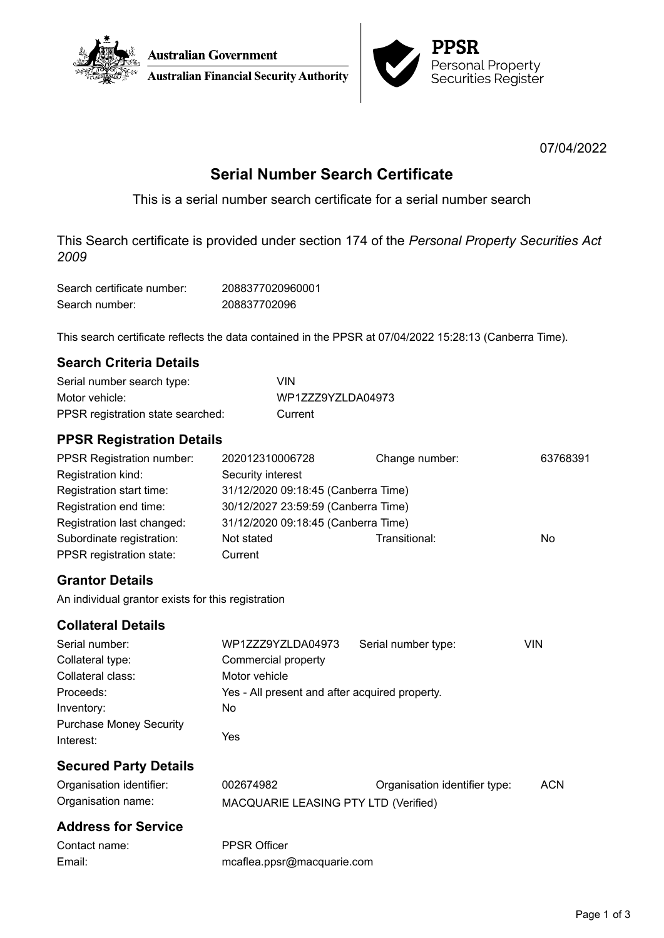



07/04/2022

# **Serial Number Search Certificate**

This is a serial number search certificate for a serial number search

This Search certificate is provided under section 174 of the *Personal Property Securities Act 2009*

| Search certificate number: | 2088377020960001 |
|----------------------------|------------------|
| Search number:             | 208837702096     |

This search certificate reflects the data contained in the PPSR at 07/04/2022 15:28:13 (Canberra Time).

## **Search Criteria Details**

| Serial number search type:        | VIN               |
|-----------------------------------|-------------------|
| Motor vehicle:                    | WP1ZZZ9YZLDA04973 |
| PPSR registration state searched: | Current           |

## **PPSR Registration Details**

| <b>PPSR Registration number:</b>                      | 202012310006728                     | Change number: | 63768391 |
|-------------------------------------------------------|-------------------------------------|----------------|----------|
| Registration kind:                                    | Security interest                   |                |          |
| Registration start time:                              | 31/12/2020 09:18:45 (Canberra Time) |                |          |
| Registration end time:                                | 30/12/2027 23:59:59 (Canberra Time) |                |          |
| Registration last changed:                            | 31/12/2020 09:18:45 (Canberra Time) |                |          |
| Subordinate registration:<br>PPSR registration state: | Not stated<br>Current               | Transitional:  | No       |

## **Grantor Details**

An individual grantor exists for this registration

## **Collateral Details**

| Serial number:                 | WP1ZZZ9YZLDA04973                              | Serial number type: | VIN |
|--------------------------------|------------------------------------------------|---------------------|-----|
| Collateral type:               | Commercial property                            |                     |     |
| Collateral class:              | Motor vehicle                                  |                     |     |
| Proceeds:                      | Yes - All present and after acquired property. |                     |     |
| Inventory:                     | No.                                            |                     |     |
| <b>Purchase Money Security</b> |                                                |                     |     |
| Interest:                      | Yes                                            |                     |     |
|                                |                                                |                     |     |

## **Secured Party Details**

| Organisation identifier: | 002674982                            | Organisation identifier type: | ACN |
|--------------------------|--------------------------------------|-------------------------------|-----|
| Organisation name:       | MACQUARIE LEASING PTY LTD (Verified) |                               |     |

## **Address for Service**

| Contact name: | <b>PPSR Officer</b>        |
|---------------|----------------------------|
| Email:        | mcaflea.ppsr@macquarie.com |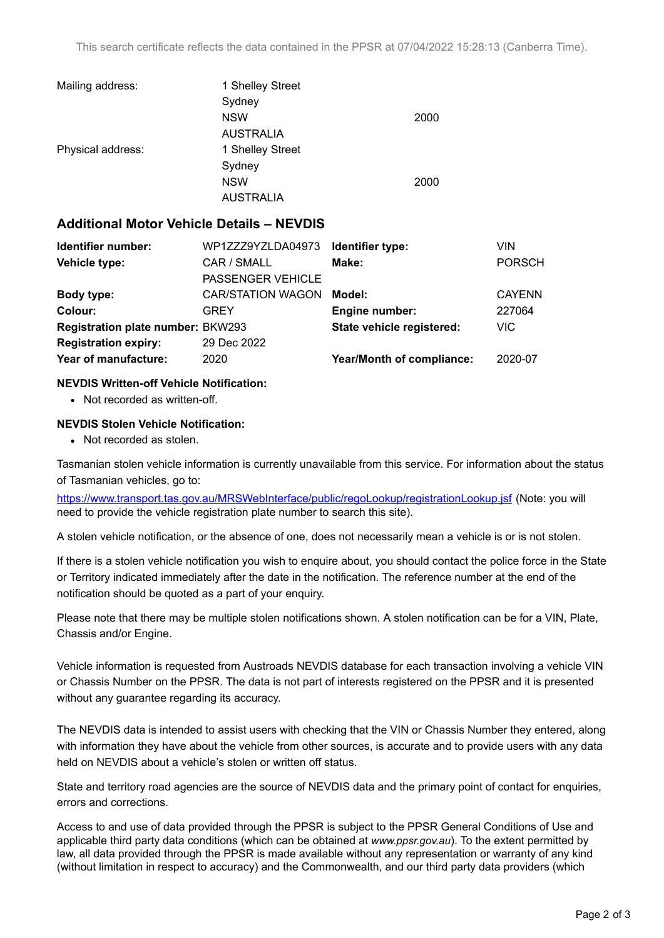| Mailing address:  | 1 Shelley Street |      |
|-------------------|------------------|------|
|                   | Sydney           |      |
|                   | <b>NSW</b>       | 2000 |
|                   | <b>AUSTRALIA</b> |      |
| Physical address: | 1 Shelley Street |      |
|                   | Sydney           |      |
|                   | <b>NSW</b>       | 2000 |
|                   | <b>AUSTRALIA</b> |      |

### **Additional Motor Vehicle Details – NEVDIS**

| Identifier number:                       | WP1ZZZ9YZLDA04973        | Identifier type:          | VIN           |
|------------------------------------------|--------------------------|---------------------------|---------------|
| Vehicle type:                            | CAR / SMALL              | Make:                     | <b>PORSCH</b> |
|                                          | <b>PASSENGER VEHICLE</b> |                           |               |
| Body type:                               | <b>CAR/STATION WAGON</b> | Model:                    | <b>CAYENN</b> |
| Colour:                                  | GREY                     | <b>Engine number:</b>     | 227064        |
| <b>Registration plate number: BKW293</b> |                          | State vehicle registered: | VIC.          |
| <b>Registration expiry:</b>              | 29 Dec 2022              |                           |               |
| Year of manufacture:                     | 2020                     | Year/Month of compliance: | 2020-07       |
|                                          |                          |                           |               |

### **NEVDIS Written-off Vehicle Notification:**

• Not recorded as written-off.

### **NEVDIS Stolen Vehicle Notification:**

• Not recorded as stolen.

Tasmanian stolen vehicle information is currently unavailable from this service. For information about the status of Tasmanian vehicles, go to:

<https://www.transport.tas.gov.au/MRSWebInterface/public/regoLookup/registrationLookup.jsf> (Note: you will need to provide the vehicle registration plate number to search this site).

A stolen vehicle notification, or the absence of one, does not necessarily mean a vehicle is or is not stolen.

If there is a stolen vehicle notification you wish to enquire about, you should contact the police force in the State or Territory indicated immediately after the date in the notification. The reference number at the end of the notification should be quoted as a part of your enquiry.

Please note that there may be multiple stolen notifications shown. A stolen notification can be for a VIN, Plate, Chassis and/or Engine.

Vehicle information is requested from Austroads NEVDIS database for each transaction involving a vehicle VIN or Chassis Number on the PPSR. The data is not part of interests registered on the PPSR and it is presented without any guarantee regarding its accuracy.

The NEVDIS data is intended to assist users with checking that the VIN or Chassis Number they entered, along with information they have about the vehicle from other sources, is accurate and to provide users with any data held on NEVDIS about a vehicle's stolen or written off status.

State and territory road agencies are the source of NEVDIS data and the primary point of contact for enquiries, errors and corrections.

Access to and use of data provided through the PPSR is subject to the PPSR General Conditions of Use and applicable third party data conditions (which can be obtained at *[www.ppsr.gov.au](http://www.ppsr.gov.au)*). To the extent permitted by law, all data provided through the PPSR is made available without any representation or warranty of any kind (without limitation in respect to accuracy) and the Commonwealth, and our third party data providers (which